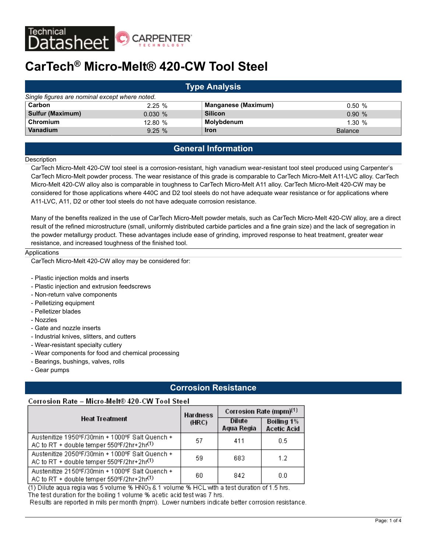

# **CarTech® Micro-Melt® 420-CW Tool Steel**

| <b>Type Analysis</b>                           |         |                            |                |
|------------------------------------------------|---------|----------------------------|----------------|
| Single figures are nominal except where noted. |         |                            |                |
| Carbon                                         | 2.25%   | <b>Manganese (Maximum)</b> | 0.50%          |
| <b>Sulfur (Maximum)</b>                        | 0.030%  | <b>Silicon</b>             | 0.90%          |
| Chromium                                       | 12.80 % | Molybdenum                 | 1.30%          |
| Vanadium                                       | 9.25%   | <b>Iron</b>                | <b>Balance</b> |

## **General Information**

#### **Description**

CarTech Micro-Melt 420-CW tool steel is a corrosion-resistant, high vanadium wear-resistant tool steel produced using Carpenter's CarTech Micro-Melt powder process. The wear resistance of this grade is comparable to CarTech Micro-Melt A11-LVC alloy. CarTech Micro-Melt 420-CW alloy also is comparable in toughness to CarTech Micro-Melt A11 alloy. CarTech Micro-Melt 420-CW may be considered for those applications where 440C and D2 tool steels do not have adequate wear resistance or for applications where A11-LVC, A11, D2 or other tool steels do not have adequate corrosion resistance.

Many of the benefits realized in the use of CarTech Micro-Melt powder metals, such as CarTech Micro-Melt 420-CW alloy, are a direct result of the refined microstructure (small, uniformly distributed carbide particles and a fine grain size) and the lack of segregation in the powder metallurgy product. These advantages include ease of grinding, improved response to heat treatment, greater wear resistance, and increased toughness of the finished tool.

#### Applications

CarTech Micro-Melt 420-CW alloy may be considered for:

- Plastic injection molds and inserts
- Plastic injection and extrusion feedscrews
- Non-return valve components
- Pelletizing equipment
- Pelletizer blades
- Nozzles
- Gate and nozzle inserts
- Industrial knives, slitters, and cutters
- Wear-resistant specialty cutlery
- Wear components for food and chemical processing
- Bearings, bushings, valves, rolls
- Gear pumps

## **Corrosion Resistance**

#### Corrosion Rate - Micro-Melt® 420-CW Tool Steel

|                                                                                                          | <b>Hardness</b> | Corrosion Rate (mpm) <sup>(1)</sup> |                                  |
|----------------------------------------------------------------------------------------------------------|-----------------|-------------------------------------|----------------------------------|
| <b>Heat Treatment</b>                                                                                    | (HRC)           | Dilute<br>Aqua Regia                | Boiling 1%<br><b>Acetic Acid</b> |
| Austenitize 1950°F/30min + 1000°F Salt Quench +<br>AC to RT + double temper 550°F/2hr+2hr(1)             | 57              | 411                                 | 0.5                              |
| Austenitize 2050ºF/30min + 1000ºF Salt Quench +<br>AC to RT + double temper 550°F/2hr+2hr(1)             | 59              | 683                                 | 12                               |
| Austenitize 2150°F/30min + 1000°F Salt Quench +<br>AC to RT + double temper 550°F/2hr+2hr <sup>(1)</sup> | 60              | 842                                 | 0.0                              |

(1) Dilute aqua regia was 5 volume % HNO3 & 1 volume % HCL with a test duration of 1.5 hrs. The test duration for the boiling 1 volume % acetic acid test was 7 hrs. Results are reported in mils per month (mpm). Lower numbers indicate better corrosion resistance.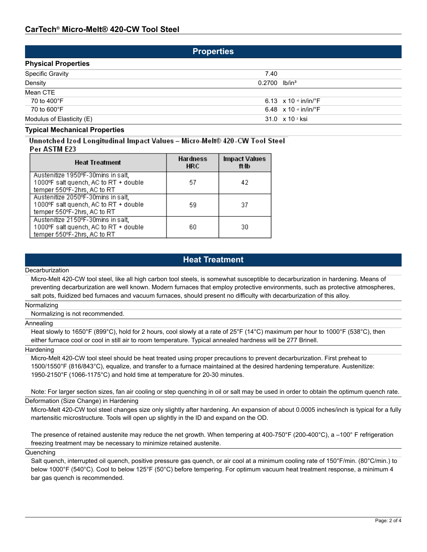| <b>Properties</b>          |                             |                                           |  |
|----------------------------|-----------------------------|-------------------------------------------|--|
| <b>Physical Properties</b> |                             |                                           |  |
| <b>Specific Gravity</b>    | 7.40                        |                                           |  |
| Density                    | $0.2700$ lb/in <sup>3</sup> |                                           |  |
| Mean CTE                   |                             |                                           |  |
| 70 to 400°F                |                             | 6.13 $\times$ 10 $\cdot$ in/in/ $\cdot$ F |  |
| 70 to 600°F                |                             | 6.48 $\times$ 10 $\cdot$ in/in/ $\cdot$ F |  |
| Modulus of Elasticity (E)  |                             | 31.0 $\times$ 10 $\frac{3}{10}$ ksi       |  |
| _                          |                             |                                           |  |

#### **Typical Mechanical Properties**

Unnotched Izod Longitudinal Impact Values - Micro-Melt® 420-CW Tool Steel Per ASTM E23

| <b>Heat Treatment</b>                                                                                      | <b>Hardness</b><br><b>HRC</b> | <b>Impact Values</b><br>ft/lb |
|------------------------------------------------------------------------------------------------------------|-------------------------------|-------------------------------|
| Austenitize 1950°F-30mins in salt,<br>1000°F salt quench, AC to RT + double<br>temper 550°F-2hrs, AC to RT | 57                            | 42                            |
| Austenitize 2050°F-30mins in salt,<br>1000°F salt quench, AC to RT + double<br>temper 550°F-2hrs, AC to RT | 59                            | 37                            |
| Austenitize 2150°F-30mins in salt,<br>1000°F salt quench, AC to RT + double<br>temper 550°F-2hrs, AC to RT | 60                            | 30                            |

## **Heat Treatment**

#### **Decarburization**

Micro-Melt 420-CW tool steel, like all high carbon tool steels, is somewhat susceptible to decarburization in hardening. Means of preventing decarburization are well known. Modern furnaces that employ protective environments, such as protective atmospheres, salt pots, fluidized bed furnaces and vacuum furnaces, should present no difficulty with decarburization of this alloy.

#### Normalizing

Normalizing is not recommended.

#### Annealing

Heat slowly to 1650°F (899°C), hold for 2 hours, cool slowly at a rate of 25°F (14°C) maximum per hour to 1000°F (538°C), then either furnace cool or cool in still air to room temperature. Typical annealed hardness will be 277 Brinell.

#### **Hardening**

Micro-Melt 420-CW tool steel should be heat treated using proper precautions to prevent decarburization. First preheat to 1500/1550°F (816/843°C), equalize, and transfer to a furnace maintained at the desired hardening temperature. Austenitize: 1950-2150°F (1066-1175°C) and hold time at temperature for 20-30 minutes.

Note: For larger section sizes, fan air cooling or step quenching in oil or salt may be used in order to obtain the optimum quench rate. Deformation (Size Change) in Hardening

Micro-Melt 420-CW tool steel changes size only slightly after hardening. An expansion of about 0.0005 inches/inch is typical for a fully martensitic microstructure. Tools will open up slightly in the ID and expand on the OD.

The presence of retained austenite may reduce the net growth. When tempering at 400-750°F (200-400°C), a –100° F refrigeration freezing treatment may be necessary to minimize retained austenite.

#### **Quenching**

Salt quench, interrupted oil quench, positive pressure gas quench, or air cool at a minimum cooling rate of 150°F/min. (80°C/min.) to below 1000°F (540°C). Cool to below 125°F (50°C) before tempering. For optimum vacuum heat treatment response, a minimum 4 bar gas quench is recommended.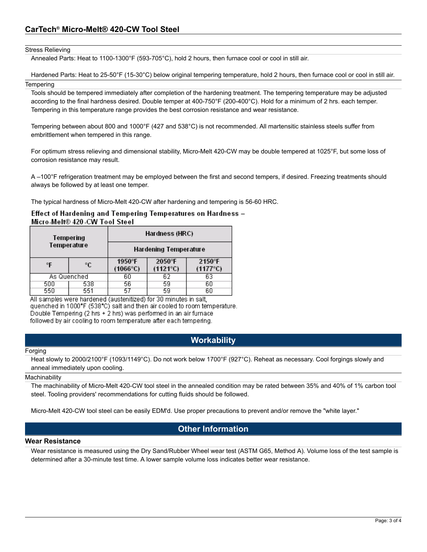#### Stress Relieving

Annealed Parts: Heat to 1100-1300°F (593-705°C), hold 2 hours, then furnace cool or cool in still air.

Hardened Parts: Heat to 25-50°F (15-30°C) below original tempering temperature, hold 2 hours, then furnace cool or cool in still air. **Tempering** 

Tools should be tempered immediately after completion of the hardening treatment. The tempering temperature may be adjusted according to the final hardness desired. Double temper at 400-750°F (200-400°C). Hold for a minimum of 2 hrs. each temper. Tempering in this temperature range provides the best corrosion resistance and wear resistance.

Tempering between about 800 and 1000°F (427 and 538°C) is not recommended. All martensitic stainless steels suffer from embrittlement when tempered in this range.

For optimum stress relieving and dimensional stability, Micro-Melt 420-CW may be double tempered at 1025°F, but some loss of corrosion resistance may result.

A –100°F refrigeration treatment may be employed between the first and second tempers, if desired. Freezing treatments should always be followed by at least one temper.

The typical hardness of Micro-Melt 420-CW after hardening and tempering is 56-60 HRC.

### Effect of Hardening and Tempering Temperatures on Hardness – Micro-Melt® 420-CW Tool Steel

| Tempering |             | Hardness (HRC)              |                             |                             |  |
|-----------|-------------|-----------------------------|-----------------------------|-----------------------------|--|
|           | Temperature | Hardening Temperature       |                             |                             |  |
| °F        | °C          | 1950°F<br>$(1066^{\circ}C)$ | 2050°F<br>$(1121^{\circ}C)$ | 2150°F<br>$(1177^{\circ}C)$ |  |
|           | As Quenched | 60                          | 62                          | 63                          |  |
| 500       | 538         | 56                          | 59                          | 60                          |  |
| 550       | 551         | 57                          | 59                          | 60                          |  |

All samples were hardened (austenitized) for 30 minutes in salt, quenched in 1000°F (538°C) salt and then air cooled to room temperature. Double Tempering (2 hrs + 2 hrs) was performed in an air furnace followed by air cooling to room temperature after each tempering.

## **Workability**

#### Forging

Heat slowly to 2000/2100°F (1093/1149°C). Do not work below 1700°F (927°C). Reheat as necessary. Cool forgings slowly and anneal immediately upon cooling.

#### **Machinability**

The machinability of Micro-Melt 420-CW tool steel in the annealed condition may be rated between 35% and 40% of 1% carbon tool steel. Tooling providers' recommendations for cutting fluids should be followed.

Micro-Melt 420-CW tool steel can be easily EDM'd. Use proper precautions to prevent and/or remove the "white layer."

## **Other Information**

#### **Wear Resistance**

Wear resistance is measured using the Dry Sand/Rubber Wheel wear test (ASTM G65, Method A). Volume loss of the test sample is determined after a 30-minute test time. A lower sample volume loss indicates better wear resistance.